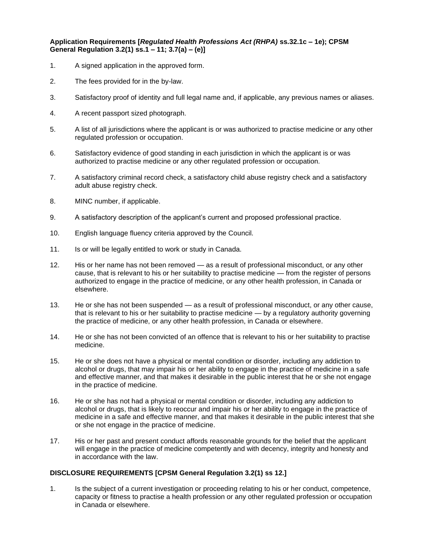## **Application Requirements [***Regulated Health Professions Act (RHPA)* **ss.32.1c – 1e); CPSM General Regulation 3.2(1) ss.1 – 11; 3.7(a) – (e)]**

- 1. A signed application in the approved form.
- 2. The fees provided for in the by-law.
- 3. Satisfactory proof of identity and full legal name and, if applicable, any previous names or aliases.
- 4. A recent passport sized photograph.
- 5. A list of all jurisdictions where the applicant is or was authorized to practise medicine or any other regulated profession or occupation.
- 6. Satisfactory evidence of good standing in each jurisdiction in which the applicant is or was authorized to practise medicine or any other regulated profession or occupation.
- 7. A satisfactory criminal record check, a satisfactory child abuse registry check and a satisfactory adult abuse registry check.
- 8. MINC number, if applicable.
- 9. A satisfactory description of the applicant's current and proposed professional practice.
- 10. English language fluency criteria approved by the Council.
- 11. Is or will be legally entitled to work or study in Canada.
- 12. His or her name has not been removed as a result of professional misconduct, or any other cause, that is relevant to his or her suitability to practise medicine — from the register of persons authorized to engage in the practice of medicine, or any other health profession, in Canada or elsewhere.
- 13. He or she has not been suspended as a result of professional misconduct, or any other cause, that is relevant to his or her suitability to practise medicine — by a regulatory authority governing the practice of medicine, or any other health profession, in Canada or elsewhere.
- 14. He or she has not been convicted of an offence that is relevant to his or her suitability to practise medicine.
- 15. He or she does not have a physical or mental condition or disorder, including any addiction to alcohol or drugs, that may impair his or her ability to engage in the practice of medicine in a safe and effective manner, and that makes it desirable in the public interest that he or she not engage in the practice of medicine.
- 16. He or she has not had a physical or mental condition or disorder, including any addiction to alcohol or drugs, that is likely to reoccur and impair his or her ability to engage in the practice of medicine in a safe and effective manner, and that makes it desirable in the public interest that she or she not engage in the practice of medicine.
- 17. His or her past and present conduct affords reasonable grounds for the belief that the applicant will engage in the practice of medicine competently and with decency, integrity and honesty and in accordance with the law.

## **DISCLOSURE REQUIREMENTS [CPSM General Regulation 3.2(1) ss 12.]**

1. Is the subject of a current investigation or proceeding relating to his or her conduct, competence, capacity or fitness to practise a health profession or any other regulated profession or occupation in Canada or elsewhere.